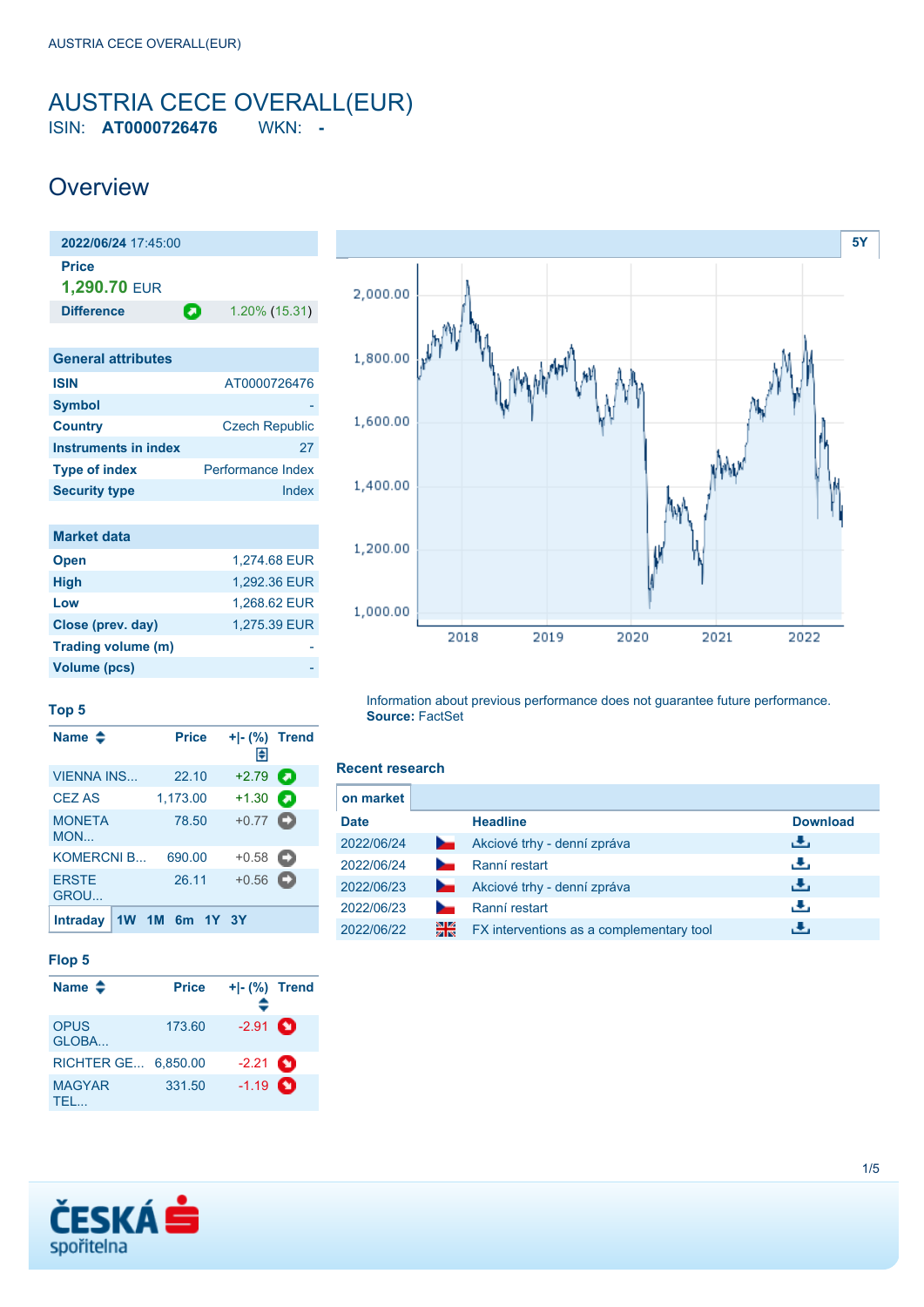## <span id="page-0-0"></span>AUSTRIA CECE OVERALL(EUR) ISIN: **AT0000726476** WKN: **-**

## **Overview**

**2022/06/24** 17:45:00 **Price 1,290.70** EUR **Difference 1.20% (15.31)** 

| AT0000726476             |
|--------------------------|
|                          |
| <b>Czech Republic</b>    |
| 27                       |
| <b>Performance Index</b> |
| Index                    |
|                          |

| <b>Market data</b> |              |
|--------------------|--------------|
| <b>Open</b>        | 1.274.68 EUR |
| <b>High</b>        | 1.292.36 EUR |
| Low                | 1,268.62 EUR |
| Close (prev. day)  | 1,275.39 EUR |
| Trading volume (m) |              |
| Volume (pcs)       |              |



#### **Top 5**

| Name $\triangle$     | <b>Price</b> |       | + - (%) Trend<br>H |   |
|----------------------|--------------|-------|--------------------|---|
| <b>VIENNA INS</b>    | 22.10        |       | $+2.79$            | О |
| <b>CEZ AS</b>        | 1,173.00     |       | $+1.30$            | О |
| <b>MONETA</b><br>MON | 78.50        |       | $+0.77$ $\bullet$  |   |
| <b>KOMERCNI B</b>    | 690.00       |       | $+0.58$ $\Box$     |   |
| <b>ERSTE</b><br>GROU | 26.11        |       | $+0.56$ $\Box$     |   |
| <b>Intraday</b>      | 1M 6m        | 1Y 3Y |                    |   |

### **Flop 5**

| Name $\triangle$           | <b>Price</b> | + - (%) Trend<br>÷ |  |
|----------------------------|--------------|--------------------|--|
| <b>OPUS</b><br>GLOBA       | 173.60       | $-2.91$ $\bullet$  |  |
| <b>RICHTER GE 6.850.00</b> |              | $-2.21$ $\bullet$  |  |
| <b>MAGYAR</b><br>TEL.      | 331.50       | $-1.19$ $\bullet$  |  |

Information about previous performance does not guarantee future performance. **Source:** FactSet

#### **Recent research**

| on market   |                |                                          |                 |
|-------------|----------------|------------------------------------------|-----------------|
| <b>Date</b> |                | <b>Headline</b>                          | <b>Download</b> |
| 2022/06/24  | <b>Service</b> | Akciové trhy - denní zpráva              | رائی            |
| 2022/06/24  |                | Ranní restart                            | رنان            |
| 2022/06/23  | <b>Service</b> | Akciové trhy - denní zpráva              | رالى            |
| 2022/06/23  |                | Ranní restart                            | رنان            |
| 2022/06/22  | 쯺              | FX interventions as a complementary tool | æ,              |

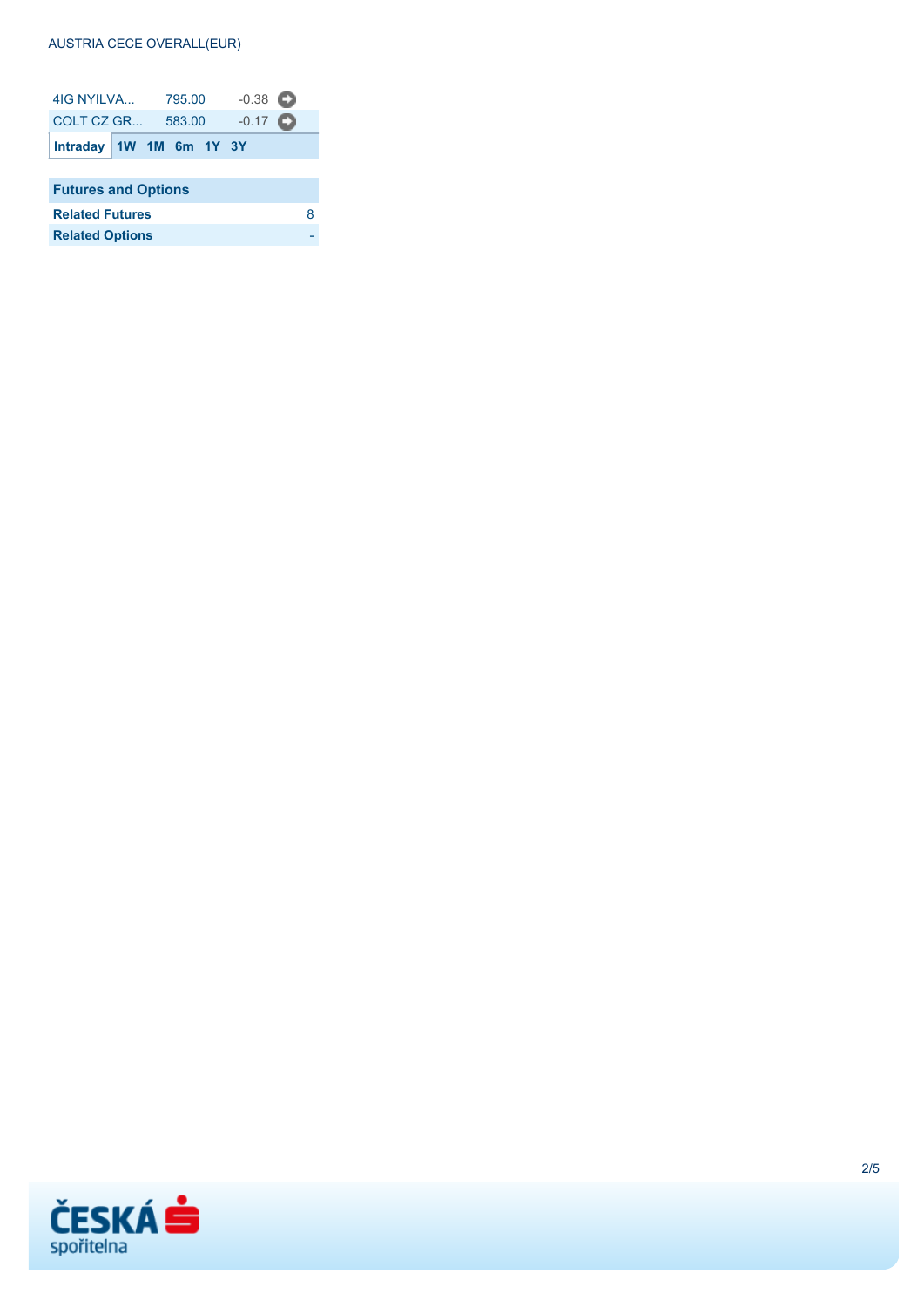### **AUSTRIA CECE OVERALL(EUR)**

| 4IG NYII VA<br>795.00      |  | $-0.38$ $\Box$    |  |  |  |   |  |
|----------------------------|--|-------------------|--|--|--|---|--|
| COLT CZ GR<br>583.00       |  | $-0.17$ $\bullet$ |  |  |  |   |  |
| Intraday   1W 1M 6m 1Y 3Y  |  |                   |  |  |  |   |  |
|                            |  |                   |  |  |  |   |  |
| <b>Futures and Options</b> |  |                   |  |  |  |   |  |
| <b>Related Futures</b>     |  |                   |  |  |  | 8 |  |
| <b>Related Options</b>     |  |                   |  |  |  |   |  |

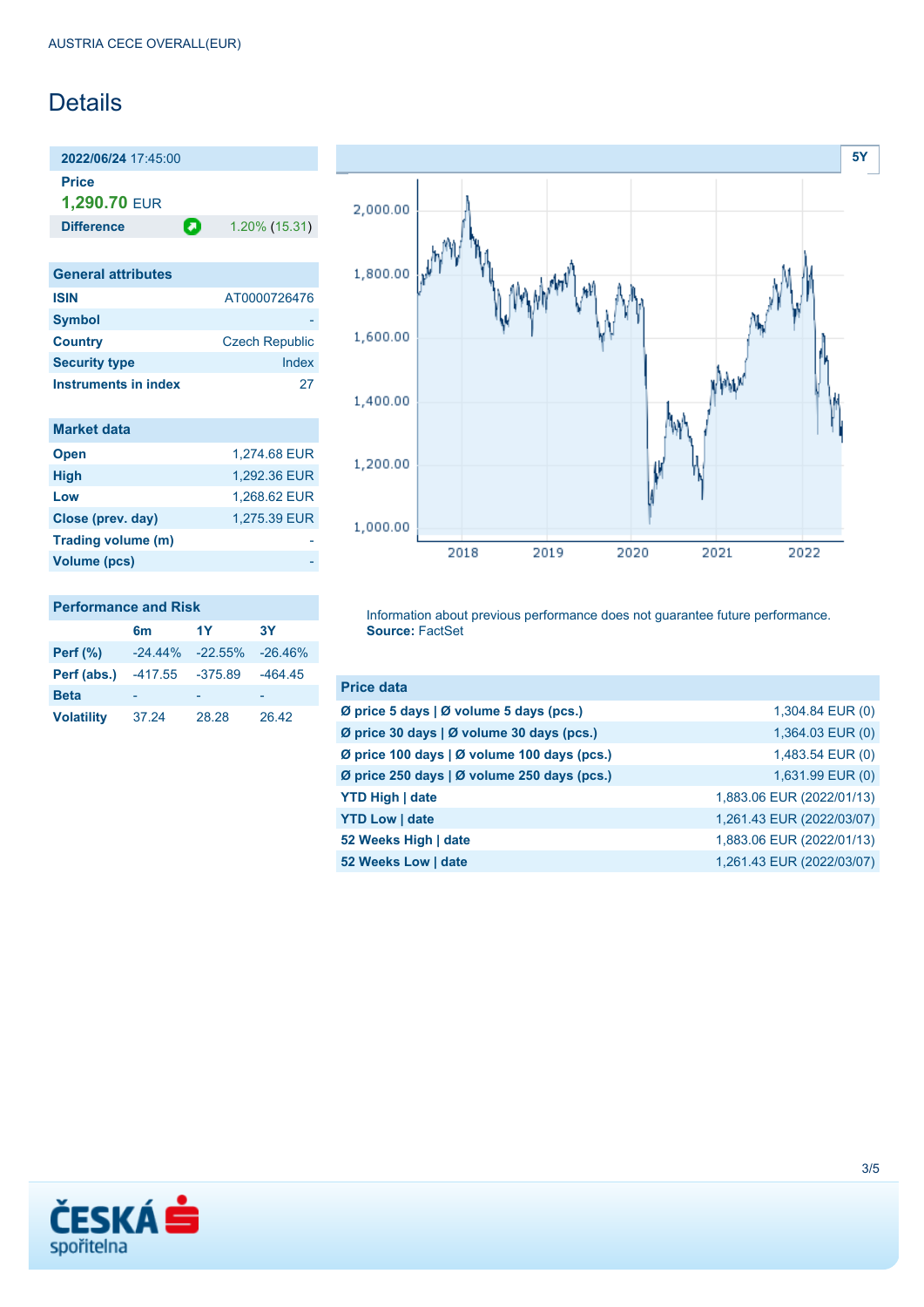# **Details**

**2022/06/24** 17:45:00 **Price 1,290.70** EUR

**Difference 1.20% (15.31)** 

| <b>General attributes</b> |                       |
|---------------------------|-----------------------|
| <b>ISIN</b>               | AT0000726476          |
| <b>Symbol</b>             |                       |
| <b>Country</b>            | <b>Czech Republic</b> |
| <b>Security type</b>      | Index                 |
| Instruments in index      | 27                    |

| <b>Market data</b>  |              |
|---------------------|--------------|
| <b>Open</b>         | 1,274.68 EUR |
| <b>High</b>         | 1,292.36 EUR |
| Low                 | 1.268.62 EUR |
| Close (prev. day)   | 1,275.39 EUR |
| Trading volume (m)  |              |
| <b>Volume (pcs)</b> |              |



## **Performance and Risk**

|                   | 6m         | 1Y         | 3Y        |
|-------------------|------------|------------|-----------|
| Perf $(\%)$       | $-24.44\%$ | $-22.55\%$ | $-26.46%$ |
| Perf (abs.)       | $-417.55$  | $-375.89$  | $-464.45$ |
| <b>Beta</b>       |            |            |           |
| <b>Volatility</b> | 37.24      | 28.28      | 26.42     |

Information about previous performance does not guarantee future performance. **Source:** FactSet

| <b>Price data</b>                           |                           |
|---------------------------------------------|---------------------------|
| Ø price 5 days   Ø volume 5 days (pcs.)     | 1,304.84 EUR (0)          |
| Ø price 30 days   Ø volume 30 days (pcs.)   | $1,364.03$ EUR $(0)$      |
| Ø price 100 days   Ø volume 100 days (pcs.) | 1,483.54 EUR (0)          |
| Ø price 250 days   Ø volume 250 days (pcs.) | 1,631.99 EUR (0)          |
| <b>YTD High   date</b>                      | 1,883.06 EUR (2022/01/13) |
| <b>YTD Low   date</b>                       | 1,261.43 EUR (2022/03/07) |
| 52 Weeks High   date                        | 1,883.06 EUR (2022/01/13) |
| 52 Weeks Low   date                         | 1,261.43 EUR (2022/03/07) |

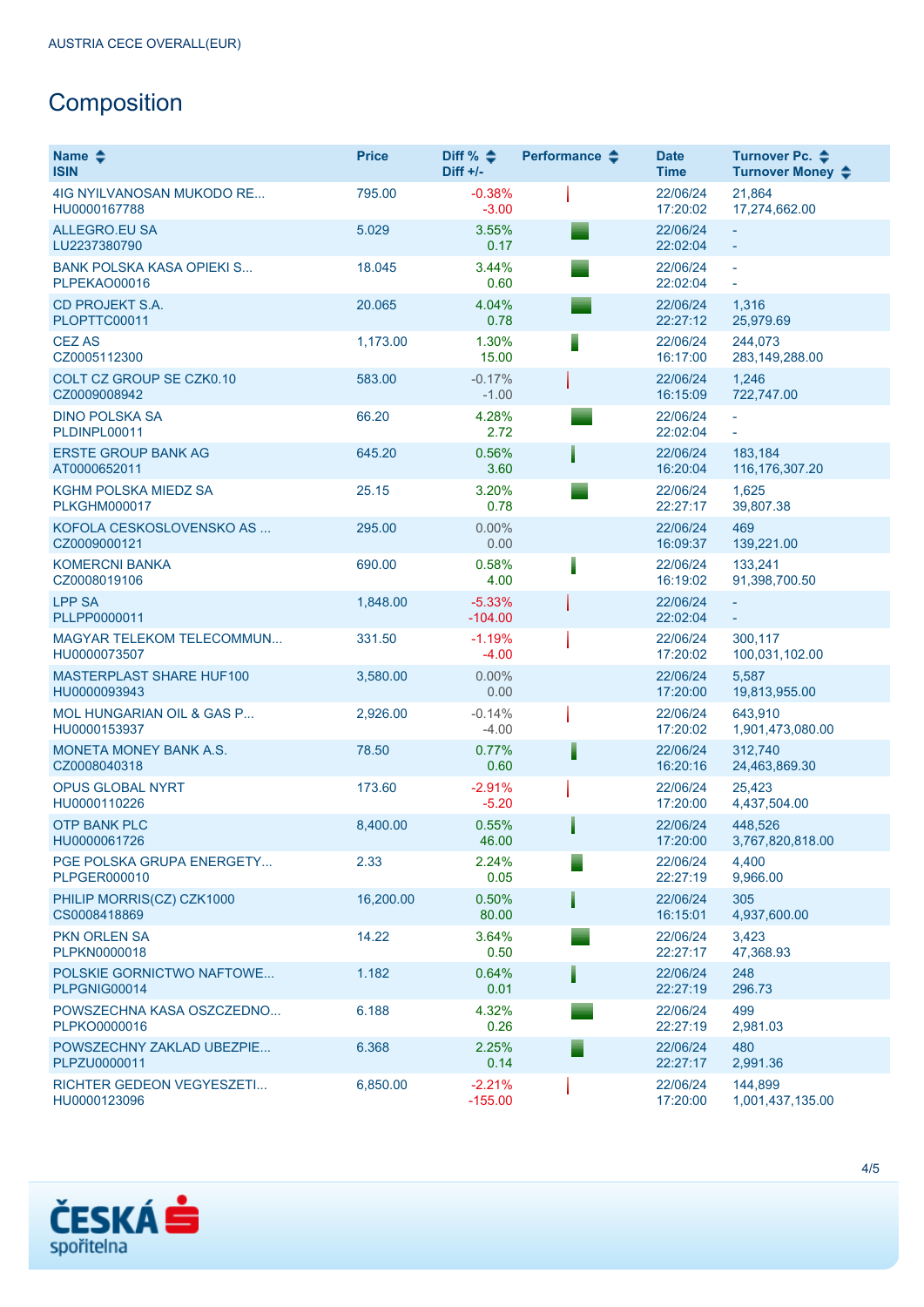# **Composition**

| Name $\triangle$<br><b>ISIN</b>                    | <b>Price</b> | Diff % $\triangleq$<br>$Diff +/-$ | Performance $\div$ | <b>Date</b><br><b>Time</b> | Turnover Pc. ♦<br>Turnover Money ♦ |
|----------------------------------------------------|--------------|-----------------------------------|--------------------|----------------------------|------------------------------------|
| 4IG NYILVANOSAN MUKODO RE<br>HU0000167788          | 795.00       | $-0.38%$<br>$-3.00$               |                    | 22/06/24<br>17:20:02       | 21,864<br>17,274,662.00            |
| <b>ALLEGRO.EU SA</b><br>LU2237380790               | 5.029        | 3.55%<br>0.17                     |                    | 22/06/24<br>22:02:04       |                                    |
| <b>BANK POLSKA KASA OPIEKI S</b><br>PLPEKAO00016   | 18.045       | 3.44%<br>0.60                     |                    | 22/06/24<br>22:02:04       | ÷,                                 |
| <b>CD PROJEKT S.A.</b><br>PLOPTTC00011             | 20.065       | 4.04%<br>0.78                     |                    | 22/06/24<br>22:27:12       | 1,316<br>25,979.69                 |
| <b>CEZ AS</b><br>CZ0005112300                      | 1,173.00     | 1.30%<br>15.00                    |                    | 22/06/24<br>16:17:00       | 244,073<br>283,149,288.00          |
| <b>COLT CZ GROUP SE CZK0.10</b><br>CZ0009008942    | 583.00       | $-0.17%$<br>$-1.00$               |                    | 22/06/24<br>16:15:09       | 1,246<br>722,747.00                |
| <b>DINO POLSKA SA</b><br>PLDINPL00011              | 66.20        | 4.28%<br>2.72                     |                    | 22/06/24<br>22:02:04       | ÷.                                 |
| <b>ERSTE GROUP BANK AG</b><br>AT0000652011         | 645.20       | 0.56%<br>3.60                     |                    | 22/06/24<br>16:20:04       | 183,184<br>116,176,307.20          |
| <b>KGHM POLSKA MIEDZ SA</b><br><b>PLKGHM000017</b> | 25.15        | 3.20%<br>0.78                     |                    | 22/06/24<br>22:27:17       | 1,625<br>39,807.38                 |
| KOFOLA CESKOSLOVENSKO AS<br>CZ0009000121           | 295.00       | 0.00%<br>0.00                     |                    | 22/06/24<br>16:09:37       | 469<br>139,221.00                  |
| <b>KOMERCNI BANKA</b><br>CZ0008019106              | 690.00       | 0.58%<br>4.00                     |                    | 22/06/24<br>16:19:02       | 133,241<br>91,398,700.50           |
| <b>LPP SA</b><br>PLLPP0000011                      | 1,848.00     | $-5.33%$<br>$-104.00$             |                    | 22/06/24<br>22:02:04       |                                    |
| MAGYAR TELEKOM TELECOMMUN<br>HU0000073507          | 331.50       | $-1.19%$<br>$-4.00$               |                    | 22/06/24<br>17:20:02       | 300,117<br>100,031,102.00          |
| MASTERPLAST SHARE HUF100<br>HU0000093943           | 3,580.00     | 0.00%<br>0.00                     |                    | 22/06/24<br>17:20:00       | 5,587<br>19,813,955.00             |
| MOL HUNGARIAN OIL & GAS P<br>HU0000153937          | 2,926.00     | $-0.14%$<br>$-4.00$               |                    | 22/06/24<br>17:20:02       | 643,910<br>1,901,473,080.00        |
| MONETA MONEY BANK A.S.<br>CZ0008040318             | 78.50        | 0.77%<br>0.60                     |                    | 22/06/24<br>16:20:16       | 312,740<br>24,463,869.30           |
| <b>OPUS GLOBAL NYRT</b><br>HU0000110226            | 173.60       | $-2.91%$<br>$-5.20$               |                    | 22/06/24<br>17:20:00       | 25,423<br>4,437,504.00             |
| <b>OTP BANK PLC</b><br>HU0000061726                | 8.400.00     | 0.55%<br>46.00                    |                    | 22/06/24<br>17:20:00       | 448,526<br>3,767,820,818.00        |
| PGE POLSKA GRUPA ENERGETY<br><b>PLPGER000010</b>   | 2.33         | 2.24%<br>0.05                     |                    | 22/06/24<br>22:27:19       | 4,400<br>9,966.00                  |
| PHILIP MORRIS(CZ) CZK1000<br>CS0008418869          | 16,200.00    | $0.50\%$<br>80.00                 |                    | 22/06/24<br>16:15:01       | 305<br>4,937,600.00                |
| <b>PKN ORLEN SA</b><br>PLPKN0000018                | 14.22        | 3.64%<br>0.50                     |                    | 22/06/24<br>22:27:17       | 3,423<br>47,368.93                 |
| POLSKIE GORNICTWO NAFTOWE<br>PLPGNIG00014          | 1.182        | 0.64%<br>0.01                     |                    | 22/06/24<br>22:27:19       | 248<br>296.73                      |
| POWSZECHNA KASA OSZCZEDNO<br>PLPKO0000016          | 6.188        | 4.32%<br>0.26                     |                    | 22/06/24<br>22:27:19       | 499<br>2,981.03                    |
| POWSZECHNY ZAKLAD UBEZPIE<br>PLPZU0000011          | 6.368        | 2.25%<br>0.14                     |                    | 22/06/24<br>22:27:17       | 480<br>2,991.36                    |
| RICHTER GEDEON VEGYESZETI<br>HU0000123096          | 6,850.00     | $-2.21%$<br>$-155.00$             |                    | 22/06/24<br>17:20:00       | 144,899<br>1,001,437,135.00        |